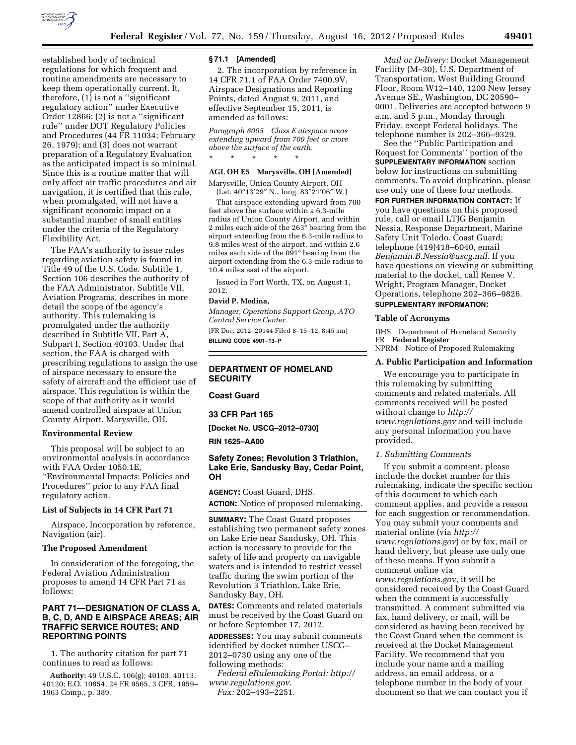

established body of technical regulations for which frequent and routine amendments are necessary to keep them operationally current. It, therefore,  $(1)$  is not a "significant" regulatory action'' under Executive Order 12866; (2) is not a ''significant rule'' under DOT Regulatory Policies and Procedures (44 FR 11034; February 26, 1979); and (3) does not warrant preparation of a Regulatory Evaluation as the anticipated impact is so minimal. Since this is a routine matter that will only affect air traffic procedures and air navigation, it is certified that this rule, when promulgated, will not have a significant economic impact on a substantial number of small entities under the criteria of the Regulatory Flexibility Act.

The FAA's authority to issue rules regarding aviation safety is found in Title 49 of the U.S. Code. Subtitle 1, Section 106 describes the authority of the FAA Administrator. Subtitle VII, Aviation Programs, describes in more detail the scope of the agency's authority. This rulemaking is promulgated under the authority described in Subtitle VII, Part A, Subpart I, Section 40103. Under that section, the FAA is charged with prescribing regulations to assign the use of airspace necessary to ensure the safety of aircraft and the efficient use of airspace. This regulation is within the scope of that authority as it would amend controlled airspace at Union County Airport, Marysville, OH.

# **Environmental Review**

This proposal will be subject to an environmental analysis in accordance with FAA Order 1050.1E, ''Environmental Impacts: Policies and Procedures'' prior to any FAA final regulatory action.

#### **List of Subjects in 14 CFR Part 71**

Airspace, Incorporation by reference, Navigation (air).

#### **The Proposed Amendment**

In consideration of the foregoing, the Federal Aviation Administration proposes to amend 14 CFR Part 71 as follows:

# **PART 71—DESIGNATION OF CLASS A, B, C, D, AND E AIRSPACE AREAS; AIR TRAFFIC SERVICE ROUTES; AND REPORTING POINTS**

1. The authority citation for part 71 continues to read as follows:

**Authority:** 49 U.S.C. 106(g); 40103, 40113, 40120; E.O. 10854, 24 FR 9565, 3 CFR, 1959– 1963 Comp., p. 389.

#### **§ 71.1 [Amended]**

2. The incorporation by reference in 14 CFR 71.1 of FAA Order 7400.9V, Airspace Designations and Reporting Points, dated August 9, 2011, and effective September 15, 2011, is amended as follows:

*Paragraph 6005 Class E airspace areas extending upward from 700 feet or more above the surface of the earth.*  \* \* \* \* \*

#### **AGL OH E5 Marysville, OH [Amended]**

Marysville, Union County Airport, OH (Lat. 40°13′29″ N., long. 83°21′06″ W.)

That airspace extending upward from 700 feet above the surface within a 6.3-mile radius of Union County Airport, and within 2 miles each side of the 263° bearing from the airport extending from the 6.3-mile radius to 9.8 miles west of the airport, and within 2.6 miles each side of the  $0.91^\circ$  bearing from the airport extending from the 6.3-mile radius to 10.4 miles east of the airport.

Issued in Fort Worth, TX, on August 1, 2012.

# **David P. Medina,**

*Manager, Operations Support Group, ATO Central Service Center.* 

[FR Doc. 2012–20144 Filed 8–15–12; 8:45 am] **BILLING CODE 4901–13–P** 

#### **DEPARTMENT OF HOMELAND SECURITY**

## **Coast Guard**

**33 CFR Part 165** 

**[Docket No. USCG–2012–0730]** 

#### **RIN 1625–AA00**

# **Safety Zones; Revolution 3 Triathlon, Lake Erie, Sandusky Bay, Cedar Point, OH**

**AGENCY:** Coast Guard, DHS. **ACTION:** Notice of proposed rulemaking.

**SUMMARY:** The Coast Guard proposes establishing two permanent safety zones on Lake Erie near Sandusky, OH. This action is necessary to provide for the safety of life and property on navigable waters and is intended to restrict vessel traffic during the swim portion of the Revolution 3 Triathlon, Lake Erie, Sandusky Bay, OH.

**DATES:** Comments and related materials must be received by the Coast Guard on or before September 17, 2012.

**ADDRESSES:** You may submit comments identified by docket number USCG– 2012–0730 using any one of the following methods:

*Federal eRulemaking Portal: [http://](http://www.regulations.gov)  [www.regulations.gov](http://www.regulations.gov)*. *Fax:* 202–493–2251.

*Mail or Delivery:* Docket Management Facility (M–30), U.S. Department of Transportation, West Building Ground Floor, Room W12–140, 1200 New Jersey Avenue SE., Washington, DC 20590– 0001. Deliveries are accepted between 9 a.m. and 5 p.m., Monday through Friday, except Federal holidays. The telephone number is 202–366–9329.

See the ''Public Participation and Request for Comments'' portion of the **SUPPLEMENTARY INFORMATION** section below for instructions on submitting comments. To avoid duplication, please use only one of these four methods.

**FOR FURTHER INFORMATION CONTACT:** If you have questions on this proposed rule, call or email LTJG Benjamin Nessia, Response Department, Marine Safety Unit Toledo, Coast Guard; telephone (419)418–6040, email *[Benjamin.B.Nessia@uscg.mil](mailto:Benjamin.B.Nessia@uscg.mil)*. If you have questions on viewing or submitting material to the docket, call Renee V. Wright, Program Manager, Docket Operations, telephone 202–366–9826.

# **SUPPLEMENTARY INFORMATION:**

#### **Table of Acronyms**

DHS Department of Homeland Security FR **Federal Register**  NPRM Notice of Proposed Rulemaking

**A. Public Participation and Information** 

We encourage you to participate in this rulemaking by submitting comments and related materials. All comments received will be posted without change to *[http://](http://www.regulations.gov) [www.regulations.gov](http://www.regulations.gov)* and will include any personal information you have provided.

#### *1. Submitting Comments*

If you submit a comment, please include the docket number for this rulemaking, indicate the specific section of this document to which each comment applies, and provide a reason for each suggestion or recommendation. You may submit your comments and material online (via *[http://](http://www.regulations.gov)  [www.regulations.gov](http://www.regulations.gov)*) or by fax, mail or hand delivery, but please use only one of these means. If you submit a comment online via *[www.regulations.gov](http://www.regulations.gov)*, it will be considered received by the Coast Guard when the comment is successfully transmitted. A comment submitted via fax, hand delivery, or mail, will be considered as having been received by the Coast Guard when the comment is received at the Docket Management Facility. We recommend that you include your name and a mailing address, an email address, or a telephone number in the body of your document so that we can contact you if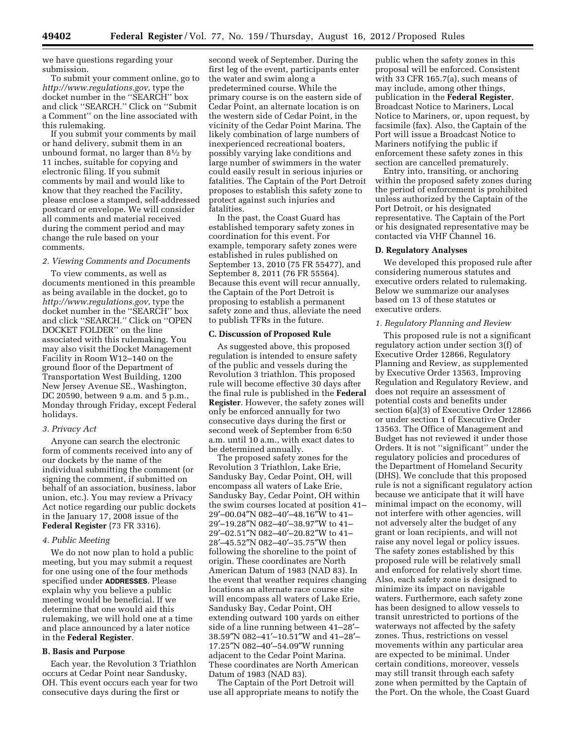we have questions regarding your submission.

To submit your comment online, go to *<http://www.regulations.gov>*, type the docket number in the ''SEARCH'' box and click ''SEARCH.'' Click on ''Submit a Comment'' on the line associated with this rulemaking.

If you submit your comments by mail or hand delivery, submit them in an unbound format, no larger than  $8\frac{1}{2}$  by 11 inches, suitable for copying and electronic filing. If you submit comments by mail and would like to know that they reached the Facility, please enclose a stamped, self-addressed postcard or envelope. We will consider all comments and material received during the comment period and may change the rule based on your comments.

#### *2. Viewing Comments and Documents*

To view comments, as well as documents mentioned in this preamble as being available in the docket, go to *<http://www.regulations.gov>*, type the docket number in the ''SEARCH'' box and click ''SEARCH.'' Click on ''OPEN DOCKET FOLDER'' on the line associated with this rulemaking. You may also visit the Docket Management Facility in Room W12–140 on the ground floor of the Department of Transportation West Building, 1200 New Jersey Avenue SE., Washington, DC 20590, between 9 a.m. and 5 p.m., Monday through Friday, except Federal holidays.

## *3. Privacy Act*

Anyone can search the electronic form of comments received into any of our dockets by the name of the individual submitting the comment (or signing the comment, if submitted on behalf of an association, business, labor union, etc.). You may review a Privacy Act notice regarding our public dockets in the January 17, 2008 issue of the **Federal Register** (73 FR 3316).

#### *4. Public Meeting*

We do not now plan to hold a public meeting, but you may submit a request for one using one of the four methods specified under **ADDRESSES**. Please explain why you believe a public meeting would be beneficial. If we determine that one would aid this rulemaking, we will hold one at a time and place announced by a later notice in the **Federal Register**.

#### **B. Basis and Purpose**

Each year, the Revolution 3 Triathlon occurs at Cedar Point near Sandusky, OH. This event occurs each year for two consecutive days during the first or

second week of September. During the first leg of the event, participants enter the water and swim along a predetermined course. While the primary course is on the eastern side of Cedar Point, an alternate location is on the western side of Cedar Point, in the vicinity of the Cedar Point Marina. The likely combination of large numbers of inexperienced recreational boaters, possibly varying lake conditions and large number of swimmers in the water could easily result in serious injuries or fatalities. The Captain of the Port Detroit proposes to establish this safety zone to protect against such injuries and fatalities.

In the past, the Coast Guard has established temporary safety zones in coordination for this event. For example, temporary safety zones were established in rules published on September 13, 2010 (75 FR 55477), and September 8, 2011 (76 FR 55564). Because this event will recur annually, the Captain of the Port Detroit is proposing to establish a permanent safety zone and thus, alleviate the need to publish TFRs in the future.

#### **C. Discussion of Proposed Rule**

As suggested above, this proposed regulation is intended to ensure safety of the public and vessels during the Revolution 3 triathlon. This proposed rule will become effective 30 days after the final rule is published in the **Federal Register**. However, the safety zones will only be enforced annually for two consecutive days during the first or second week of September from 6:50 a.m. until 10 a.m., with exact dates to be determined annually.

The proposed safety zones for the Revolution 3 Triathlon, Lake Erie, Sandusky Bay, Cedar Point, OH, will encompass all waters of Lake Erie, Sandusky Bay, Cedar Point, OH within the swim courses located at position 41– 29′–00.04″N 082–40′–48.16″W to 41– 29′–19.28″N 082–40′–38.97″W to 41– 29′–02.51″N 082–40′–20.82″W to 41– 28′–45.52″N 082–40′–35.75″W then following the shoreline to the point of origin. These coordinates are North American Datum of 1983 (NAD 83). In the event that weather requires changing locations an alternate race course site will encompass all waters of Lake Erie, Sandusky Bay, Cedar Point, OH extending outward 100 yards on either side of a line running between 41–28′– 38.59″N 082–41′–10.51″W and 41–28′– 17.25″N 082–40′–54.09″W running adjacent to the Cedar Point Marina. These coordinates are North American Datum of 1983 (NAD 83).

The Captain of the Port Detroit will use all appropriate means to notify the

public when the safety zones in this proposal will be enforced. Consistent with 33 CFR 165.7(a), such means of may include, among other things, publication in the **Federal Register**, Broadcast Notice to Mariners, Local Notice to Mariners, or, upon request, by facsimile (fax). Also, the Captain of the Port will issue a Broadcast Notice to Mariners notifying the public if enforcement these safety zones in this section are cancelled prematurely.

Entry into, transiting, or anchoring within the proposed safety zones during the period of enforcement is prohibited unless authorized by the Captain of the Port Detroit, or his designated representative. The Captain of the Port or his designated representative may be contacted via VHF Channel 16.

#### **D. Regulatory Analyses**

We developed this proposed rule after considering numerous statutes and executive orders related to rulemaking. Below we summarize our analyses based on 13 of these statutes or executive orders.

#### *1. Regulatory Planning and Review*

This proposed rule is not a significant regulatory action under section 3(f) of Executive Order 12866, Regulatory Planning and Review, as supplemented by Executive Order 13563, Improving Regulation and Regulatory Review, and does not require an assessment of potential costs and benefits under section 6(a)(3) of Executive Order 12866 or under section 1 of Executive Order 13563. The Office of Management and Budget has not reviewed it under those Orders. It is not ''significant'' under the regulatory policies and procedures of the Department of Homeland Security (DHS). We conclude that this proposed rule is not a significant regulatory action because we anticipate that it will have minimal impact on the economy, will not interfere with other agencies, will not adversely alter the budget of any grant or loan recipients, and will not raise any novel legal or policy issues. The safety zones established by this proposed rule will be relatively small and enforced for relatively short time. Also, each safety zone is designed to minimize its impact on navigable waters. Furthermore, each safety zone has been designed to allow vessels to transit unrestricted to portions of the waterways not affected by the safety zones. Thus, restrictions on vessel movements within any particular area are expected to be minimal. Under certain conditions, moreover, vessels may still transit through each safety zone when permitted by the Captain of the Port. On the whole, the Coast Guard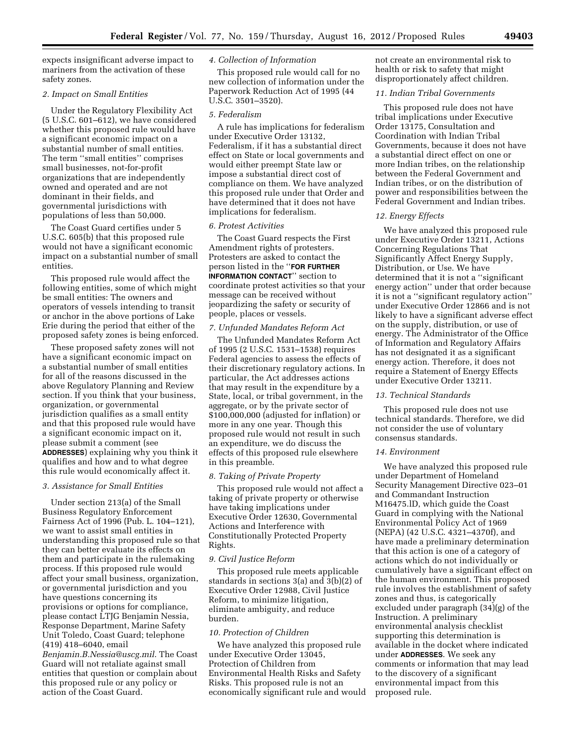expects insignificant adverse impact to mariners from the activation of these safety zones.

#### *2. Impact on Small Entities*

Under the Regulatory Flexibility Act (5 U.S.C. 601–612), we have considered whether this proposed rule would have a significant economic impact on a substantial number of small entities. The term ''small entities'' comprises small businesses, not-for-profit organizations that are independently owned and operated and are not dominant in their fields, and governmental jurisdictions with populations of less than 50,000.

The Coast Guard certifies under 5 U.S.C. 605(b) that this proposed rule would not have a significant economic impact on a substantial number of small entities.

This proposed rule would affect the following entities, some of which might be small entities: The owners and operators of vessels intending to transit or anchor in the above portions of Lake Erie during the period that either of the proposed safety zones is being enforced.

These proposed safety zones will not have a significant economic impact on a substantial number of small entities for all of the reasons discussed in the above Regulatory Planning and Review section. If you think that your business, organization, or governmental jurisdiction qualifies as a small entity and that this proposed rule would have a significant economic impact on it, please submit a comment (see **ADDRESSES**) explaining why you think it qualifies and how and to what degree this rule would economically affect it.

## *3. Assistance for Small Entities*

Under section 213(a) of the Small Business Regulatory Enforcement Fairness Act of 1996 (Pub. L. 104–121), we want to assist small entities in understanding this proposed rule so that they can better evaluate its effects on them and participate in the rulemaking process. If this proposed rule would affect your small business, organization, or governmental jurisdiction and you have questions concerning its provisions or options for compliance, please contact LTJG Benjamin Nessia, Response Department, Marine Safety Unit Toledo, Coast Guard; telephone (419) 418–6040, email

*[Benjamin.B.Nessia@uscg.mil](mailto:Benjamin.B.Nessia@uscg.mil)*. The Coast Guard will not retaliate against small entities that question or complain about this proposed rule or any policy or action of the Coast Guard.

#### *4. Collection of Information*

This proposed rule would call for no new collection of information under the Paperwork Reduction Act of 1995 (44 U.S.C. 3501–3520).

# *5. Federalism*

A rule has implications for federalism under Executive Order 13132, Federalism, if it has a substantial direct effect on State or local governments and would either preempt State law or impose a substantial direct cost of compliance on them. We have analyzed this proposed rule under that Order and have determined that it does not have implications for federalism.

#### *6. Protest Activities*

The Coast Guard respects the First Amendment rights of protesters. Protesters are asked to contact the person listed in the ''**FOR FURTHER INFORMATION CONTACT**'' section to coordinate protest activities so that your message can be received without jeopardizing the safety or security of people, places or vessels.

### *7. Unfunded Mandates Reform Act*

The Unfunded Mandates Reform Act of 1995 (2 U.S.C. 1531–1538) requires Federal agencies to assess the effects of their discretionary regulatory actions. In particular, the Act addresses actions that may result in the expenditure by a State, local, or tribal government, in the aggregate, or by the private sector of \$100,000,000 (adjusted for inflation) or more in any one year. Though this proposed rule would not result in such an expenditure, we do discuss the effects of this proposed rule elsewhere in this preamble.

#### *8. Taking of Private Property*

This proposed rule would not affect a taking of private property or otherwise have taking implications under Executive Order 12630, Governmental Actions and Interference with Constitutionally Protected Property Rights.

#### *9. Civil Justice Reform*

This proposed rule meets applicable standards in sections 3(a) and 3(b)(2) of Executive Order 12988, Civil Justice Reform, to minimize litigation, eliminate ambiguity, and reduce burden.

#### *10. Protection of Children*

We have analyzed this proposed rule under Executive Order 13045, Protection of Children from Environmental Health Risks and Safety Risks. This proposed rule is not an economically significant rule and would not create an environmental risk to health or risk to safety that might disproportionately affect children.

# *11. Indian Tribal Governments*

This proposed rule does not have tribal implications under Executive Order 13175, Consultation and Coordination with Indian Tribal Governments, because it does not have a substantial direct effect on one or more Indian tribes, on the relationship between the Federal Government and Indian tribes, or on the distribution of power and responsibilities between the Federal Government and Indian tribes.

#### *12. Energy Effects*

We have analyzed this proposed rule under Executive Order 13211, Actions Concerning Regulations That Significantly Affect Energy Supply, Distribution, or Use. We have determined that it is not a ''significant energy action'' under that order because it is not a ''significant regulatory action'' under Executive Order 12866 and is not likely to have a significant adverse effect on the supply, distribution, or use of energy. The Administrator of the Office of Information and Regulatory Affairs has not designated it as a significant energy action. Therefore, it does not require a Statement of Energy Effects under Executive Order 13211.

#### *13. Technical Standards*

This proposed rule does not use technical standards. Therefore, we did not consider the use of voluntary consensus standards.

#### *14. Environment*

We have analyzed this proposed rule under Department of Homeland Security Management Directive 023–01 and Commandant Instruction M16475.lD, which guide the Coast Guard in complying with the National Environmental Policy Act of 1969 (NEPA) (42 U.S.C. 4321–4370f), and have made a preliminary determination that this action is one of a category of actions which do not individually or cumulatively have a significant effect on the human environment. This proposed rule involves the establishment of safety zones and thus, is categorically excluded under paragraph (34)(g) of the Instruction. A preliminary environmental analysis checklist supporting this determination is available in the docket where indicated under **ADDRESSES**. We seek any comments or information that may lead to the discovery of a significant environmental impact from this proposed rule.